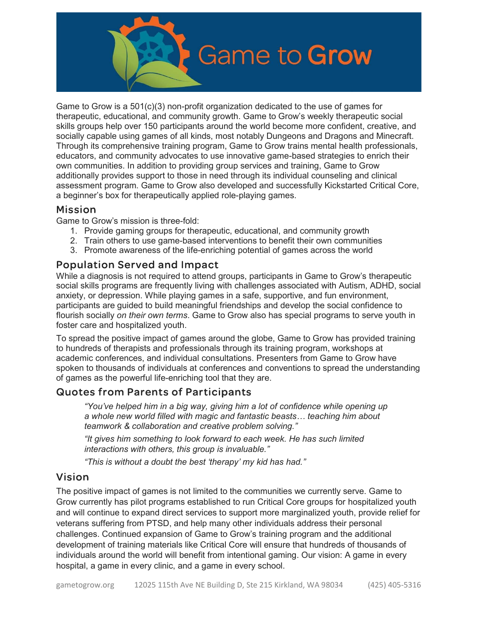

Game to Grow is a  $501(c)(3)$  non-profit organization dedicated to the use of games for therapeutic, educational, and community growth. Game to Grow's weekly therapeutic social skills groups help over 150 participants around the world become more confident, creative, and socially capable using games of all kinds, most notably Dungeons and Dragons and Minecraft. Through its comprehensive training program, Game to Grow trains mental health professionals, educators, and community advocates to use innovative game-based strategies to enrich their own communities. In addition to providing group services and training, Game to Grow additionally provides support to those in need through its individual counseling and clinical assessment program. Game to Grow also developed and successfully Kickstarted Critical Core, a beginner's box for therapeutically applied role-playing games.

# Mission

Game to Grow's mission is three-fold:

- 1. Provide gaming groups for therapeutic, educational, and community growth
- 2. Train others to use game-based interventions to benefit their own communities
- 3. Promote awareness of the life-enriching potential of games across the world

### Population Served and Impact

While a diagnosis is not required to attend groups, participants in Game to Grow's therapeutic social skills programs are frequently living with challenges associated with Autism, ADHD, social anxiety, or depression. While playing games in a safe, supportive, and fun environment, participants are guided to build meaningful friendships and develop the social confidence to flourish socially on their own terms. Game to Grow also has special programs to serve youth in foster care and hospitalized youth.

To spread the positive impact of games around the globe, Game to Grow has provided training to hundreds of therapists and professionals through its training program, workshops at academic conferences, and individual consultations. Presenters from Game to Grow have spoken to thousands of individuals at conferences and conventions to spread the understanding of games as the powerful life-enriching tool that they are.

# Quotes from Parents of Participants

"You've helped him in a big way, giving him a lot of confidence while opening up a whole new world filled with magic and fantastic beasts… teaching him about teamwork & collaboration and creative problem solving."

"It gives him something to look forward to each week. He has such limited interactions with others, this group is invaluable."

"This is without a doubt the best 'therapy' my kid has had."

# Vision

The positive impact of games is not limited to the communities we currently serve. Game to Grow currently has pilot programs established to run Critical Core groups for hospitalized youth and will continue to expand direct services to support more marginalized youth, provide relief for veterans suffering from PTSD, and help many other individuals address their personal challenges. Continued expansion of Game to Grow's training program and the additional development of training materials like Critical Core will ensure that hundreds of thousands of individuals around the world will benefit from intentional gaming. Our vision: A game in every hospital, a game in every clinic, and a game in every school.